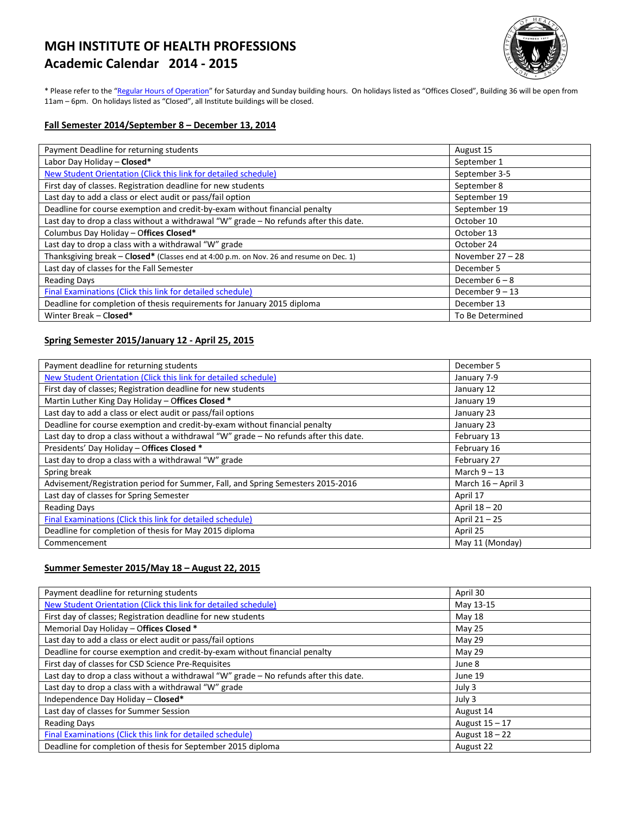# **MGH INSTITUTE OF HEALTH PROFESSIONS Academic Calendar 2014 - 2015**



\* Please refer to the ["Regular Hours of Operation"](http://www.mghihp.edu/about-us/operations/hours.aspx) for Saturday and Sunday building hours. On holidays listed as "Offices Closed", Building 36 will be open from 11am – 6pm. On holidays listed as "Closed", all Institute buildings will be closed.

#### **Fall Semester 2014/September 8 – December 13, 2014**

| Payment Deadline for returning students                                                 | August 15          |
|-----------------------------------------------------------------------------------------|--------------------|
| Labor Day Holiday - Closed*                                                             | September 1        |
| New Student Orientation (Click this link for detailed schedule)                         | September 3-5      |
| First day of classes. Registration deadline for new students                            | September 8        |
| Last day to add a class or elect audit or pass/fail option                              | September 19       |
| Deadline for course exemption and credit-by-exam without financial penalty              | September 19       |
| Last day to drop a class without a withdrawal "W" grade - No refunds after this date.   | October 10         |
| Columbus Day Holiday - Offices Closed*                                                  | October 13         |
| Last day to drop a class with a withdrawal "W" grade                                    | October 24         |
| Thanksgiving break - Closed* (Classes end at 4:00 p.m. on Nov. 26 and resume on Dec. 1) | November $27 - 28$ |
| Last day of classes for the Fall Semester                                               | December 5         |
| <b>Reading Days</b>                                                                     | December $6 - 8$   |
| Final Examinations (Click this link for detailed schedule)                              | December $9 - 13$  |
| Deadline for completion of thesis requirements for January 2015 diploma                 | December 13        |
| Winter Break - Closed*                                                                  | To Be Determined   |

### **Spring Semester 2015/January 12 - April 25, 2015**

| Payment deadline for returning students                                               | December 5         |
|---------------------------------------------------------------------------------------|--------------------|
| New Student Orientation (Click this link for detailed schedule)                       | January 7-9        |
| First day of classes; Registration deadline for new students                          | January 12         |
| Martin Luther King Day Holiday - Offices Closed *                                     | January 19         |
| Last day to add a class or elect audit or pass/fail options                           | January 23         |
| Deadline for course exemption and credit-by-exam without financial penalty            | January 23         |
| Last day to drop a class without a withdrawal "W" grade - No refunds after this date. | February 13        |
| Presidents' Day Holiday - Offices Closed *                                            | February 16        |
| Last day to drop a class with a withdrawal "W" grade                                  | February 27        |
| Spring break                                                                          | March $9 - 13$     |
| Advisement/Registration period for Summer, Fall, and Spring Semesters 2015-2016       | March 16 - April 3 |
| Last day of classes for Spring Semester                                               | April 17           |
| <b>Reading Days</b>                                                                   | April 18 - 20      |
| Final Examinations (Click this link for detailed schedule)                            | April 21-25        |
| Deadline for completion of thesis for May 2015 diploma                                | April 25           |
| Commencement                                                                          | May 11 (Monday)    |

#### **Summer Semester 2015/May 18 – August 22, 2015**

| Payment deadline for returning students                                               | April 30       |
|---------------------------------------------------------------------------------------|----------------|
| New Student Orientation (Click this link for detailed schedule)                       | May 13-15      |
| First day of classes; Registration deadline for new students                          | May 18         |
| Memorial Day Holiday - Offices Closed *                                               | May 25         |
| Last day to add a class or elect audit or pass/fail options                           | May 29         |
| Deadline for course exemption and credit-by-exam without financial penalty            | May 29         |
| First day of classes for CSD Science Pre-Requisites                                   | June 8         |
| Last day to drop a class without a withdrawal "W" grade - No refunds after this date. | June 19        |
| Last day to drop a class with a withdrawal "W" grade                                  | July 3         |
| Independence Day Holiday - Closed*                                                    | July 3         |
| Last day of classes for Summer Session                                                | August 14      |
| <b>Reading Days</b>                                                                   | August 15 – 17 |
| Final Examinations (Click this link for detailed schedule)                            | August 18 - 22 |
| Deadline for completion of thesis for September 2015 diploma                          | August 22      |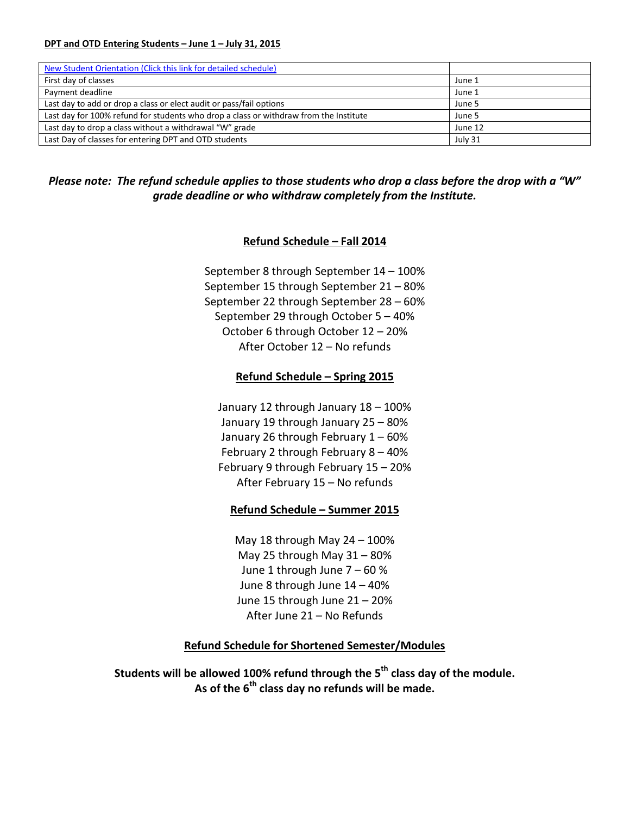#### **DPT and OTD Entering Students – June 1 – July 31, 2015**

| New Student Orientation (Click this link for detailed schedule)                       |         |
|---------------------------------------------------------------------------------------|---------|
| First day of classes                                                                  | June 1  |
| Payment deadline                                                                      | June 1  |
| Last day to add or drop a class or elect audit or pass/fail options                   | June 5  |
| Last day for 100% refund for students who drop a class or withdraw from the Institute | June 5  |
| Last day to drop a class without a withdrawal "W" grade                               | June 12 |
| Last Day of classes for entering DPT and OTD students                                 | July 31 |

*Please note: The refund schedule applies to those students who drop a class before the drop with a "W" grade deadline or who withdraw completely from the Institute.*

# **Refund Schedule – Fall 2014**

September 8 through September 14 – 100% September 15 through September 21 – 80% September 22 through September 28 – 60% September 29 through October 5 – 40% October 6 through October 12 – 20% After October 12 – No refunds

# **Refund Schedule – Spring 2015**

January 12 through January 18 – 100% January 19 through January 25 – 80% January 26 through February 1 – 60% February 2 through February 8 – 40% February 9 through February 15 – 20% After February 15 – No refunds

## **Refund Schedule – Summer 2015**

May 18 through May  $24 - 100\%$ May 25 through May 31 – 80% June 1 through June 7 – 60 % June 8 through June 14 – 40% June 15 through June 21 – 20% After June 21 – No Refunds

## **Refund Schedule for Shortened Semester/Modules**

**Students will be allowed 100% refund through the 5th class day of the module. As of the 6th class day no refunds will be made.**